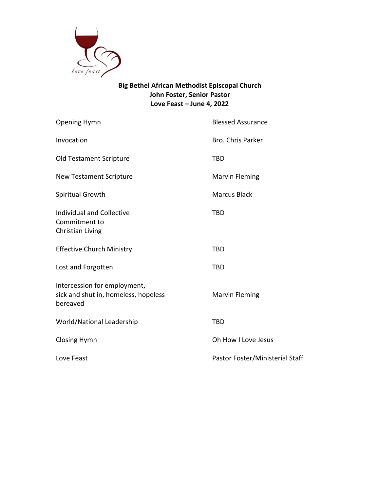

## **Big Bethel African Methodist Episcopal Church John Foster, Senior Pastor Love Feast – June 4, 2022**

| <b>Opening Hymn</b>                                                              | <b>Blessed Assurance</b>        |
|----------------------------------------------------------------------------------|---------------------------------|
| Invocation                                                                       | <b>Bro. Chris Parker</b>        |
| <b>Old Testament Scripture</b>                                                   | TBD                             |
| <b>New Testament Scripture</b>                                                   | <b>Marvin Fleming</b>           |
| Spiritual Growth                                                                 | <b>Marcus Black</b>             |
| <b>Individual and Collective</b><br>Commitment to<br>Christian Living            | <b>TBD</b>                      |
| <b>Effective Church Ministry</b>                                                 | <b>TBD</b>                      |
| Lost and Forgotten                                                               | <b>TBD</b>                      |
| Intercession for employment,<br>sick and shut in, homeless, hopeless<br>bereaved | <b>Marvin Fleming</b>           |
| World/National Leadership                                                        | <b>TBD</b>                      |
| <b>Closing Hymn</b>                                                              | Oh How I Love Jesus             |
| Love Feast                                                                       | Pastor Foster/Ministerial Staff |